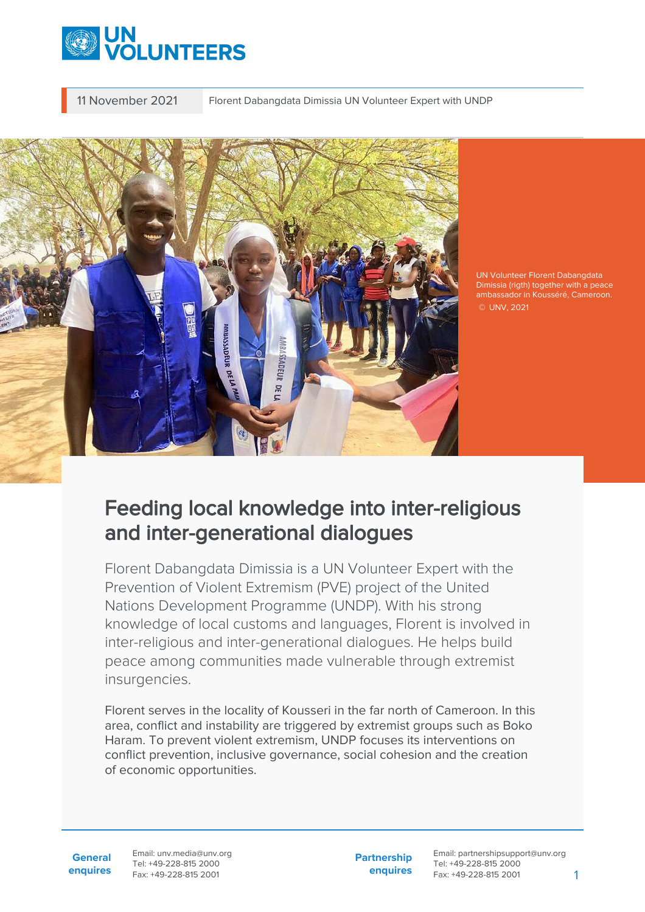

11 November 2021 Florent Dabangdata Dimissia UN Volunteer Expert with UNDP



UN Volunteer Florent Dabangdata Dimissia (rigth) together with a peace ambassador in Kousséré, Cameroon. © UNV, 2021

## Feeding local knowledge into inter-religious and inter-generational dialogues

Florent Dabangdata Dimissia is a UN Volunteer Expert with the Prevention of Violent Extremism (PVE) project of the United Nations Development Programme (UNDP). With his strong knowledge of local customs and languages, Florent is involved in inter-religious and inter-generational dialogues. He helps build peace among communities made vulnerable through extremist insurgencies.

Florent serves in the locality of Kousseri in the far north of Cameroon. In this area, conflict and instability are triggered by extremist groups such as Boko Haram. To prevent violent extremism, UNDP focuses its interventions on conflict prevention, inclusive governance, social cohesion and the creation of economic opportunities.

**General enquires** Email: unv.media@unv.org Tel: +49-228-815 2000 Fax: +49-228-815 2001

**Partnership enquires** Email: partnershipsupport@unv.org Tel: +49-228-815 2000 Fax: +49-228-815 2001 1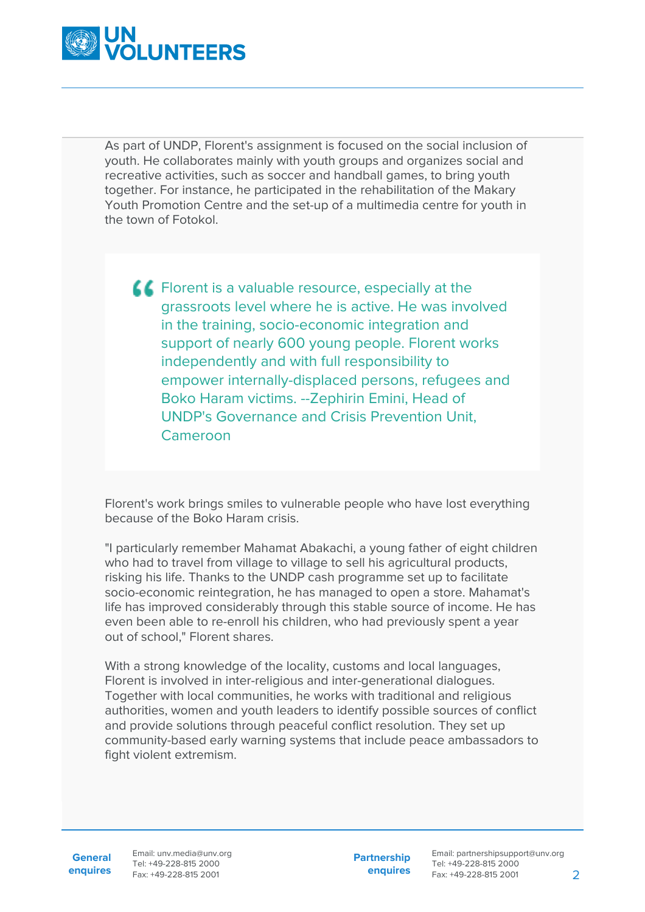

As part of UNDP, Florent's assignment is focused on the social inclusion of youth. He collaborates mainly with youth groups and organizes social and recreative activities, such as soccer and handball games, to bring youth together. For instance, he participated in the rehabilitation of the Makary Youth Promotion Centre and the set-up of a multimedia centre for youth in the town of Fotokol.

**CC** Florent is a valuable resource, especially at the grassroots level where he is active. He was involved in the training, socio-economic integration and support of nearly 600 young people. Florent works independently and with full responsibility to empower internally-displaced persons, refugees and Boko Haram victims. --Zephirin Emini, Head of UNDP's Governance and Crisis Prevention Unit, Cameroon

Florent's work brings smiles to vulnerable people who have lost everything because of the Boko Haram crisis.

"I particularly remember Mahamat Abakachi, a young father of eight children who had to travel from village to village to sell his agricultural products, risking his life. Thanks to the UNDP cash programme set up to facilitate socio-economic reintegration, he has managed to open a store. Mahamat's life has improved considerably through this stable source of income. He has even been able to re-enroll his children, who had previously spent a year out of school," Florent shares.

With a strong knowledge of the locality, customs and local languages, Florent is involved in inter-religious and inter-generational dialogues. Together with local communities, he works with traditional and religious authorities, women and youth leaders to identify possible sources of conflict and provide solutions through peaceful conflict resolution. They set up community-based early warning systems that include peace ambassadors to fight violent extremism.

**General**

**enquires** Tel: +49-228-815 2000 Fax: +49-228-815 2001 Email: unv.media@unv.org<br>Tel: +49-228-815 2000

**Partnership enquires**

Email: partnershipsupport@unv.org Tel: +49-228-815 2000 Fax: +49-228-815 2001 2